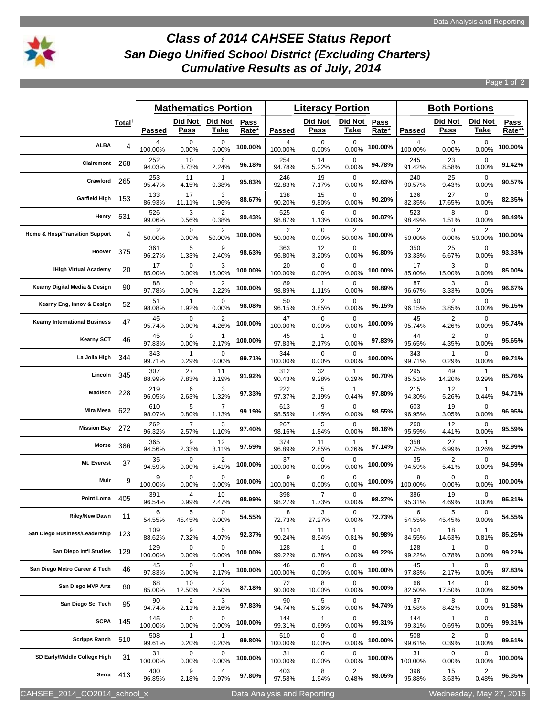

## *Class of 2014 CAHSEE Status Report San Diego Unified School District (Excluding Charters) Cumulative Results as of July, 2014*

Page 1 of 2

|                                      |                    |                | <b>Mathematics Portion</b> |                         |                      |                | <b>Literacy Portion</b> |                          |               | <b>Both Portions</b> |                         |                          |                |
|--------------------------------------|--------------------|----------------|----------------------------|-------------------------|----------------------|----------------|-------------------------|--------------------------|---------------|----------------------|-------------------------|--------------------------|----------------|
|                                      | Total <sup>†</sup> | Passed         | Did Not<br><u>Pass</u>     | Did Not<br><u>Take</u>  | <b>Pass</b><br>Rate* | <b>Passed</b>  | Did Not<br><u>Pass</u>  | Did Not<br><u>Take</u>   | Pass<br>Rate* | <b>Passed</b>        | Did Not<br><u>Pass</u>  | Did Not<br><u>Take</u>   | Pass<br>Rate** |
| <b>ALBA</b>                          | 4                  | 4<br>100.00%   | 0<br>0.00%                 | 0<br>0.00%              | 100.00%              | 4<br>100.00%   | 0<br>0.00%              | 0<br>0.00%               | 100.00%       | 4<br>100.00%         | 0<br>0.00%              | 0<br>0.00%               | 100.00%        |
| Clairemont                           | 268                | 252<br>94.03%  | 10<br>3.73%                | 6<br>2.24%              | 96.18%               | 254<br>94.78%  | 14<br>5.22%             | $\mathbf 0$<br>0.00%     | 94.78%        | 245<br>91.42%        | 23<br>8.58%             | 0<br>0.00%               | 91.42%         |
| Crawford                             | 265                | 253<br>95.47%  | 11<br>4.15%                | $\mathbf{1}$<br>0.38%   | 95.83%               | 246<br>92.83%  | 19<br>7.17%             | $\mathbf 0$<br>0.00%     | 92.83%        | 240<br>90.57%        | 25<br>9.43%             | 0<br>0.00%               | 90.57%         |
| <b>Garfield High</b>                 | 153                | 133<br>86.93%  | 17<br>11.11%               | 3<br>1.96%              | 88.67%               | 138<br>90.20%  | 15<br>9.80%             | $\mathbf 0$<br>0.00%     | 90.20%        | 126<br>82.35%        | 27<br>17.65%            | 0<br>0.00%               | 82.35%         |
| Henry                                | 531                | 526<br>99.06%  | 3<br>0.56%                 | 2<br>0.38%              | 99.43%               | 525<br>98.87%  | 6<br>1.13%              | 0<br>0.00%               | 98.87%        | 523<br>98.49%        | 8<br>1.51%              | 0<br>0.00%               | 98.49%         |
| Home & Hosp/Transition Support       | 4                  | 2<br>50.00%    | $\mathbf 0$<br>0.00%       | 2<br>50.00%             | 100.00%              | 2<br>50.00%    | $\mathbf 0$<br>0.00%    | $\overline{2}$<br>50.00% | 100.00%       | 2<br>50.00%          | $\mathbf 0$<br>0.00%    | $\overline{2}$<br>50.00% | 100.00%        |
| Hoover                               | 375                | 361<br>96.27%  | 5<br>1.33%                 | 9<br>2.40%              | 98.63%               | 363<br>96.80%  | 12<br>3.20%             | 0<br>0.00%               | 96.80%        | 350<br>93.33%        | 25<br>6.67%             | 0<br>0.00%               | 93.33%         |
| iHigh Virtual Academy                | 20                 | 17<br>85.00%   | $\mathbf 0$<br>0.00%       | 3<br>15.00%             | 100.00%              | 20<br>100.00%  | 0<br>0.00%              | 0<br>0.00%               | 100.00%       | 17<br>85.00%         | 3<br>15.00%             | 0<br>0.00%               | 85.00%         |
| Kearny Digital Media & Design        | 90                 | 88<br>97.78%   | 0<br>0.00%                 | 2<br>2.22%              | 100.00%              | 89<br>98.89%   | $\mathbf{1}$<br>1.11%   | 0<br>0.00%               | 98.89%        | 87<br>96.67%         | 3<br>3.33%              | 0<br>0.00%               | 96.67%         |
| Kearny Eng, Innov & Design           | 52                 | 51<br>98.08%   | 1<br>1.92%                 | 0<br>0.00%              | 98.08%               | 50<br>96.15%   | 2<br>3.85%              | 0<br>0.00%               | 96.15%        | 50<br>96.15%         | 2<br>3.85%              | 0<br>0.00%               | 96.15%         |
| <b>Kearny International Business</b> | 47                 | 45<br>95.74%   | $\mathbf 0$<br>0.00%       | 2<br>4.26%              | 100.00%              | 47<br>100.00%  | 0<br>0.00%              | 0<br>0.00%               | 100.00%       | 45<br>95.74%         | $\overline{2}$<br>4.26% | 0<br>0.00%               | 95.74%         |
| <b>Kearny SCT</b>                    | 46                 | 45<br>97.83%   | 0<br>0.00%                 | 1<br>2.17%              | 100.00%              | 45<br>97.83%   | 1<br>2.17%              | 0<br>0.00%               | 97.83%        | 44<br>95.65%         | 2<br>4.35%              | 0<br>0.00%               | 95.65%         |
| La Jolla High                        | 344                | 343<br>99.71%  | $\mathbf{1}$<br>0.29%      | 0<br>0.00%              | 99.71%               | 344<br>100.00% | 0<br>0.00%              | $\mathbf 0$<br>0.00%     | 100.00%       | 343<br>99.71%        | 1<br>0.29%              | 0<br>0.00%               | 99.71%         |
| Lincoln                              | 345                | 307<br>88.99%  | 27<br>7.83%                | 11<br>3.19%             | 91.92%               | 312<br>90.43%  | 32<br>9.28%             | $\mathbf{1}$<br>0.29%    | 90.70%        | 295<br>85.51%        | 49<br>14.20%            | 1<br>0.29%               | 85.76%         |
| <b>Madison</b>                       | 228                | 219<br>96.05%  | 6<br>2.63%                 | 3<br>1.32%              | 97.33%               | 222<br>97.37%  | 5<br>2.19%              | -1<br>0.44%              | 97.80%        | 215<br>94.30%        | 12<br>5.26%             | 1<br>0.44%               | 94.71%         |
| Mira Mesa                            | 622                | 610<br>98.07%  | 5<br>0.80%                 | $\overline{7}$<br>1.13% | 99.19%               | 613<br>98.55%  | 9<br>1.45%              | 0<br>0.00%               | 98.55%        | 603<br>96.95%        | 19<br>3.05%             | 0<br>0.00%               | 96.95%         |
| <b>Mission Bay</b>                   | 272                | 262<br>96.32%  | $\overline{7}$<br>2.57%    | 3<br>1.10%              | 97.40%               | 267<br>98.16%  | 5<br>1.84%              | $\mathbf 0$<br>0.00%     | 98.16%        | 260<br>95.59%        | 12<br>4.41%             | 0<br>0.00%               | 95.59%         |
| Morse                                | 386                | 365<br>94.56%  | 9<br>2.33%                 | 12<br>3.11%             | 97.59%               | 374<br>96.89%  | 11<br>2.85%             | $\mathbf{1}$<br>0.26%    | 97.14%        | 358<br>92.75%        | 27<br>6.99%             | 1<br>0.26%               | 92.99%         |
| Mt. Everest                          | 37                 | 35<br>94.59%   | $\mathbf 0$<br>0.00%       | 2<br>5.41%              | 100.00%              | 37<br>100.00%  | 0<br>0.00%              | $\mathbf 0$<br>0.00%     | 100.00%       | 35<br>94.59%         | $\overline{2}$<br>5.41% | 0<br>0.00%               | 94.59%         |
| Muir                                 | 9                  | 9<br>100.00%   | $\mathbf 0$<br>0.00%       | 0<br>$0.00\%$           | 100.00%              | 9<br>100.00%   | 0<br>0.00%              | 0<br>0.00%               | 100.00%       | 9<br>100.00%         | 0<br>0.00%              | 0<br>0.00%               | 100.00%        |
| <b>Point Loma</b>                    | 405                | 391<br>96.54%  | 4<br>0.99%                 | 10<br>2.47%             | 98.99%               | 398<br>98.27%  | $\overline{7}$<br>1.73% | 0<br>0.00%               | 98.27%        | 386<br>95.31%        | 19<br>4.69%             | 0<br>0.00%               | 95.31%         |
| <b>Riley/New Dawn</b>                | 11                 | 6<br>54.55%    | 5<br>45.45%                | $\mathbf 0$<br>0.00%    | 54.55%               | 8<br>72.73%    | 3<br>27.27%             | 0<br>0.00%               | 72.73%        | 6<br>54.55%          | 5<br>45.45%             | 0<br>0.00%               | 54.55%         |
| San Diego Business/Leadership        | 123                | 109<br>88.62%  | 9<br>7.32%                 | 5<br>4.07%              | 92.37%               | 111<br>90.24%  | 11<br>8.94%             | 1<br>0.81%               | 90.98%        | 104<br>84.55%        | 18<br>14.63%            | 1<br>0.81%               | 85.25%         |
| San Diego Int'l Studies              | 129                | 129<br>100.00% | $\mathbf 0$<br>0.00%       | 0<br>$0.00\%$           | 100.00%              | 128<br>99.22%  | $\mathbf{1}$<br>0.78%   | 0<br>$0.00\%$            | 99.22%        | 128<br>99.22%        | $\mathbf{1}$<br>0.78%   | 0<br>0.00%               | 99.22%         |
| San Diego Metro Career & Tech        | 46                 | 45<br>97.83%   | 0<br>0.00%                 | -1<br>2.17%             | 100.00%              | 46<br>100.00%  | 0<br>0.00%              | 0<br>0.00%               | 100.00%       | 45<br>97.83%         | 1<br>2.17%              | 0<br>0.00%               | 97.83%         |
| San Diego MVP Arts                   | 80                 | 68<br>85.00%   | 10<br>12.50%               | $\overline{2}$<br>2.50% | 87.18%               | 72<br>90.00%   | 8<br>10.00%             | $\mathbf 0$<br>0.00%     | 90.00%        | 66<br>82.50%         | 14<br>17.50%            | 0<br>0.00%               | 82.50%         |
| San Diego Sci Tech                   | 95                 | 90<br>94.74%   | 2<br>2.11%                 | 3<br>3.16%              | 97.83%               | 90<br>94.74%   | 5<br>5.26%              | $\mathbf 0$<br>0.00%     | 94.74%        | 87<br>91.58%         | 8<br>8.42%              | 0<br>0.00%               | 91.58%         |
| <b>SCPA</b>                          | 145                | 145<br>100.00% | $\mathbf 0$<br>0.00%       | 0<br>$0.00\%$           | 100.00%              | 144<br>99.31%  | $\mathbf{1}$<br>0.69%   | 0<br>0.00%               | 99.31%        | 144<br>99.31%        | 1<br>0.69%              | 0<br>0.00%               | 99.31%         |
| <b>Scripps Ranch</b>                 | 510                | 508<br>99.61%  | $\mathbf{1}$<br>0.20%      | 1<br>0.20%              | 99.80%               | 510<br>100.00% | 0<br>0.00%              | 0<br>0.00%               | 100.00%       | 508<br>99.61%        | 2<br>0.39%              | 0<br>0.00%               | 99.61%         |
| SD Early/Middle College High         | 31                 | 31<br>100.00%  | 0<br>0.00%                 | 0<br>$0.00\%$           | 100.00%              | 31<br>100.00%  | 0<br>0.00%              | 0<br>0.00%               | 100.00%       | 31<br>100.00%        | 0<br>0.00%              | 0<br>0.00%               | 100.00%        |
| Serra                                | 413                | 400<br>96.85%  | 9<br>2.18%                 | 4<br>0.97%              | 97.80%               | 403<br>97.58%  | 8<br>1.94%              | 2<br>0.48%               | 98.05%        | 396<br>95.88%        | 15<br>3.63%             | $\overline{2}$<br>0.48%  | 96.35%         |

CAHSEE\_2014\_CO2014\_school\_x Data Analysis and Reporting Wednesday, May 27, 2015